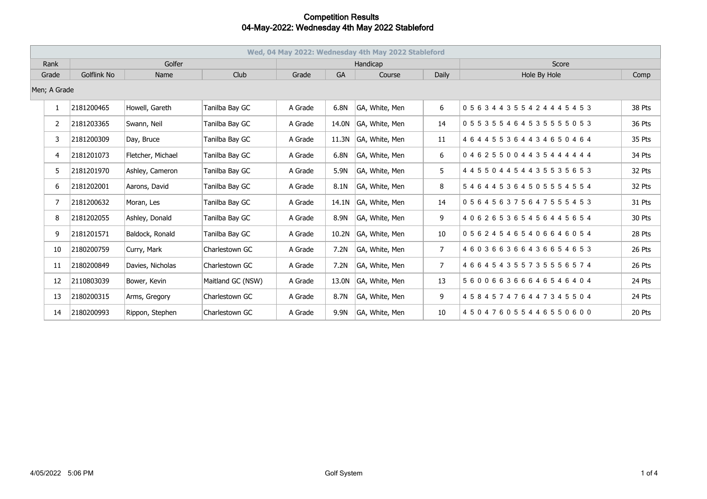| Wed, 04 May 2022: Wednesday 4th May 2022 Stableford |             |                   |                   |          |           |                |                |                                     |        |
|-----------------------------------------------------|-------------|-------------------|-------------------|----------|-----------|----------------|----------------|-------------------------------------|--------|
| Rank                                                | Golfer      |                   |                   | Handicap |           |                |                | Score                               |        |
| Grade                                               | Golflink No | Name              | Club              | Grade    | <b>GA</b> | Course         | Daily          | Hole By Hole                        | Comp   |
| Men; A Grade                                        |             |                   |                   |          |           |                |                |                                     |        |
| $\mathbf{1}$                                        | 2181200465  | Howell, Gareth    | Tanilba Bay GC    | A Grade  | 6.8N      | GA, White, Men | 6              | 0 5 6 3 4 4 3 5 5 4 2 4 4 4 5 4 5 3 | 38 Pts |
| 2                                                   | 2181203365  | Swann, Neil       | Tanilba Bay GC    | A Grade  | 14.0N     | GA, White, Men | 14             | 055355464535555053                  | 36 Pts |
| 3                                                   | 2181200309  | Day, Bruce        | Tanilba Bay GC    | A Grade  | 11.3N     | GA, White, Men | 11             | 464455364434650464                  | 35 Pts |
| 4                                                   | 2181201073  | Fletcher, Michael | Tanilba Bay GC    | A Grade  | 6.8N      | GA, White, Men | 6              | 046255004435444444                  | 34 Pts |
| 5                                                   | 2181201970  | Ashley, Cameron   | Tanilba Bay GC    | A Grade  | 5.9N      | GA, White, Men | 5              | 4 4 5 5 0 4 4 5 4 4 3 5 5 3 5 6 5 3 | 32 Pts |
| 6                                                   | 2181202001  | Aarons, David     | Tanilba Bay GC    | A Grade  | 8.1N      | GA, White, Men | 8              | 546445364505554554                  | 32 Pts |
| 7                                                   | 2181200632  | Moran, Les        | Tanilba Bay GC    | A Grade  | 14.1N     | GA, White, Men | 14             | 056456375647555453                  | 31 Pts |
| 8                                                   | 2181202055  | Ashley, Donald    | Tanilba Bay GC    | A Grade  | 8.9N      | GA, White, Men | 9              | 406265365456445654                  | 30 Pts |
| 9                                                   | 2181201571  | Baldock, Ronald   | Tanilba Bay GC    | A Grade  | 10.2N     | GA, White, Men | 10             | 056245465406646054                  | 28 Pts |
| 10                                                  | 2180200759  | Curry, Mark       | Charlestown GC    | A Grade  | 7.2N      | GA, White, Men | $\overline{7}$ | 460366366436654653                  | 26 Pts |
| 11                                                  | 2180200849  | Davies, Nicholas  | Charlestown GC    | A Grade  | 7.2N      | GA, White, Men | $\overline{7}$ | 466454355735556574                  | 26 Pts |
| 12                                                  | 2110803039  | Bower, Kevin      | Maitland GC (NSW) | A Grade  | 13.0N     | GA, White, Men | 13             | 560066366646546404                  | 24 Pts |
| 13                                                  | 2180200315  | Arms, Gregory     | Charlestown GC    | A Grade  | 8.7N      | GA, White, Men | 9              | 458457476447345504                  | 24 Pts |
| 14                                                  | 2180200993  | Rippon, Stephen   | Charlestown GC    | A Grade  | 9.9N      | GA, White, Men | 10             | 450476055446550600                  | 20 Pts |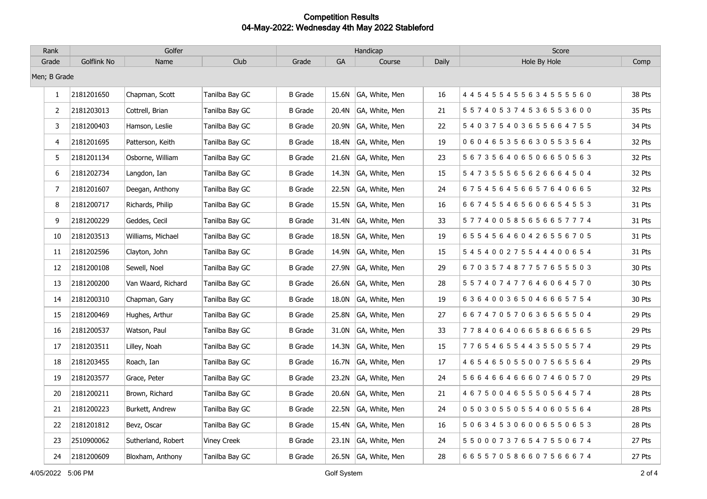| Rank           | Golfer      |                    | Handicap       |                |           |                | Score |                                     |        |  |
|----------------|-------------|--------------------|----------------|----------------|-----------|----------------|-------|-------------------------------------|--------|--|
| Grade          | Golflink No | Name               | Club           | Grade          | <b>GA</b> | Course         | Daily | Hole By Hole                        | Comp   |  |
| Men; B Grade   |             |                    |                |                |           |                |       |                                     |        |  |
| $\mathbf{1}$   | 2181201650  | Chapman, Scott     | Tanilba Bay GC | <b>B</b> Grade | 15.6N     | GA, White, Men | 16    | 4 4 5 4 5 5 4 5 5 6 3 4 5 5 5 5 6 0 | 38 Pts |  |
| $\overline{2}$ | 2181203013  | Cottrell, Brian    | Tanilba Bay GC | <b>B</b> Grade | 20.4N     | GA, White, Men | 21    | 557405374536553600                  | 35 Pts |  |
| 3              | 2181200403  | Hamson, Leslie     | Tanilba Bay GC | <b>B</b> Grade | 20.9N     | GA, White, Men | 22    | 540375403655664755                  | 34 Pts |  |
| 4              | 2181201695  | Patterson, Keith   | Tanilba Bay GC | <b>B</b> Grade | 18.4N     | GA, White, Men | 19    | 060465356630553564                  | 32 Pts |  |
| 5.             | 2181201134  | Osborne, William   | Tanilba Bay GC | <b>B</b> Grade | 21.6N     | GA, White, Men | 23    | 567356406506650563                  | 32 Pts |  |
| 6              | 2181202734  | Langdon, Ian       | Tanilba Bay GC | <b>B</b> Grade | 14.3N     | GA, White, Men | 15    | 547355565626664504                  | 32 Pts |  |
| 7              | 2181201607  | Deegan, Anthony    | Tanilba Bay GC | <b>B</b> Grade | 22.5N     | GA, White, Men | 24    | 675456456657640665                  | 32 Pts |  |
| 8              | 2181200717  | Richards, Philip   | Tanilba Bay GC | <b>B</b> Grade | 15.5N     | GA, White, Men | 16    | 667455465606654553                  | 31 Pts |  |
| 9              | 2181200229  | Geddes, Cecil      | Tanilba Bay GC | <b>B</b> Grade | 31.4N     | GA, White, Men | 33    | 577400585656657774                  | 31 Pts |  |
| 10             | 2181203513  | Williams, Michael  | Tanilba Bay GC | <b>B</b> Grade | 18.5N     | GA, White, Men | 19    | 655456460426556705                  | 31 Pts |  |
| 11             | 2181202596  | Clayton, John      | Tanilba Bay GC | <b>B</b> Grade | 14.9N     | GA, White, Men | 15    | 545400275544400654                  | 31 Pts |  |
| 12             | 2181200108  | Sewell, Noel       | Tanilba Bay GC | <b>B</b> Grade | 27.9N     | GA, White, Men | 29    | 670357487757655503                  | 30 Pts |  |
| 13             | 2181200200  | Van Waard, Richard | Tanilba Bay GC | <b>B</b> Grade | 26.6N     | GA, White, Men | 28    | 557407477646064570                  | 30 Pts |  |
| 14             | 2181200310  | Chapman, Gary      | Tanilba Bay GC | <b>B</b> Grade | 18.0N     | GA, White, Men | 19    | 636400365046665754                  | 30 Pts |  |
| 15             | 2181200469  | Hughes, Arthur     | Tanilba Bay GC | <b>B</b> Grade | 25.8N     | GA, White, Men | 27    | 667470570636565504                  | 29 Pts |  |
| 16             | 2181200537  | Watson, Paul       | Tanilba Bay GC | <b>B</b> Grade | 31.0N     | GA, White, Men | 33    | 778406406658666565                  | 29 Pts |  |
| 17             | 2181203511  | Lilley, Noah       | Tanilba Bay GC | <b>B</b> Grade | 14.3N     | GA, White, Men | 15    | 776546554435505574                  | 29 Pts |  |
| 18             | 2181203455  | Roach, Ian         | Tanilba Bay GC | <b>B</b> Grade | 16.7N     | GA, White, Men | 17    | 4 6 5 4 6 5 0 5 5 0 0 7 5 6 5 5 6 4 | 29 Pts |  |
| 19             | 2181203577  | Grace, Peter       | Tanilba Bay GC | <b>B</b> Grade | 23.2N     | GA, White, Men | 24    | 566466466607460570                  | 29 Pts |  |
| 20             | 2181200211  | Brown, Richard     | Tanilba Bay GC | <b>B</b> Grade | 20.6N     | GA, White, Men | 21    | 467500465550564574                  | 28 Pts |  |
| 21             | 2181200223  | Burkett, Andrew    | Tanilba Bay GC | <b>B</b> Grade | 22.5N     | GA, White, Men | 24    | 050305505540605564                  | 28 Pts |  |
| 22             | 2181201812  | Bevz, Oscar        | Tanilba Bay GC | <b>B</b> Grade | 15.4N     | GA, White, Men | 16    | 506345306006550653                  | 28 Pts |  |
| 23             | 2510900062  | Sutherland, Robert | Viney Creek    | <b>B</b> Grade | 23.1N     | GA, White, Men | 24    | 550007376547550674                  | 27 Pts |  |
| 24             | 2181200609  | Bloxham, Anthony   | Tanilba Bay GC | B Grade        | 26.5N     | GA, White, Men | 28    | 665570586607566674                  | 27 Pts |  |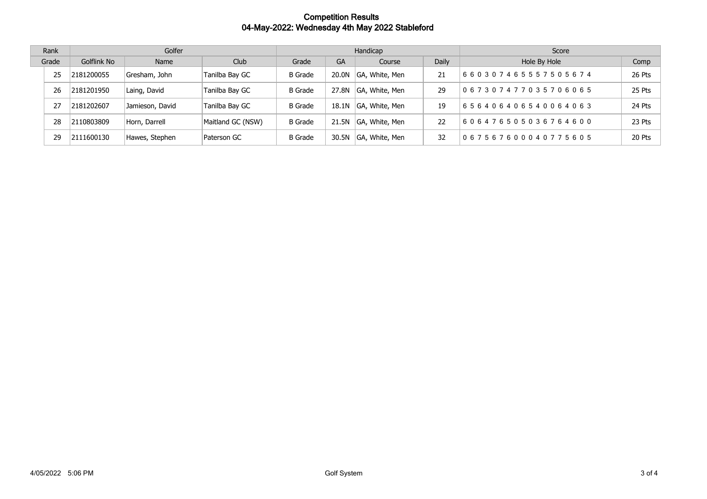| Rank  |    | Golfer      |                 |                   | Handicap       |       |                |       | Score                               |        |
|-------|----|-------------|-----------------|-------------------|----------------|-------|----------------|-------|-------------------------------------|--------|
| Grade |    | Golflink No | Name            | Club              | Grade          | GA    | Course         | Daily | Hole By Hole                        | Comp   |
|       | 25 | 2181200055  | Gresham, John   | Tanilba Bay GC    | <b>B</b> Grade | 20.0N | GA, White, Men | 21    | 660307465557505674                  | 26 Pts |
|       | 26 | 2181201950  | Laing, David    | Tanilba Bay GC    | <b>B</b> Grade | 27.8N | GA, White, Men | 29    | 067307477035706065                  | 25 Pts |
|       |    | 2181202607  | Jamieson, David | Tanilba Bay GC    | <b>B</b> Grade | 18.1N | GA, White, Men | 19    | 656406406540064063                  | 24 Pts |
|       | 28 | 2110803809  | Horn, Darrell   | Maitland GC (NSW) | <b>B</b> Grade | 21.5N | GA, White, Men | 22    | 606476505036764600                  | 23 Pts |
|       | 29 | 2111600130  | Hawes, Stephen  | Paterson GC       | <b>B</b> Grade | 30.5N | GA, White, Men | 32    | 0 6 7 5 6 7 6 0 0 0 4 0 7 7 5 6 0 5 | 20 Pts |